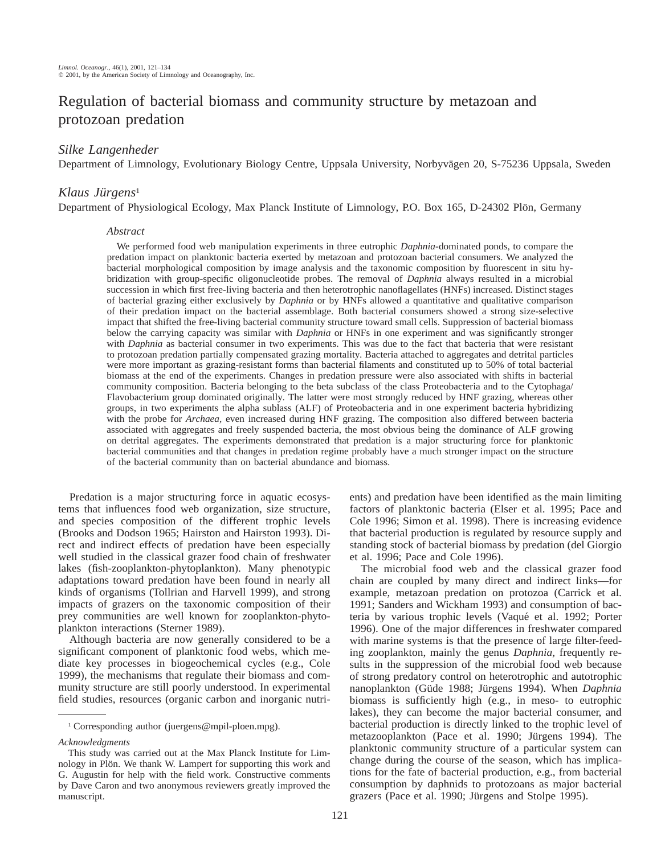# Regulation of bacterial biomass and community structure by metazoan and protozoan predation

# *Silke Langenheder*

Department of Limnology, Evolutionary Biology Centre, Uppsala University, Norbyvägen 20, S-75236 Uppsala, Sweden

# *Klaus Ju¨rgens*<sup>1</sup>

Department of Physiological Ecology, Max Planck Institute of Limnology, P.O. Box 165, D-24302 Plön, Germany

#### *Abstract*

We performed food web manipulation experiments in three eutrophic *Daphnia*-dominated ponds, to compare the predation impact on planktonic bacteria exerted by metazoan and protozoan bacterial consumers. We analyzed the bacterial morphological composition by image analysis and the taxonomic composition by fluorescent in situ hybridization with group-specific oligonucleotide probes. The removal of *Daphnia* always resulted in a microbial succession in which first free-living bacteria and then heterotrophic nanoflagellates (HNFs) increased. Distinct stages of bacterial grazing either exclusively by *Daphnia* or by HNFs allowed a quantitative and qualitative comparison of their predation impact on the bacterial assemblage. Both bacterial consumers showed a strong size-selective impact that shifted the free-living bacterial community structure toward small cells. Suppression of bacterial biomass below the carrying capacity was similar with *Daphnia* or HNFs in one experiment and was significantly stronger with *Daphnia* as bacterial consumer in two experiments. This was due to the fact that bacteria that were resistant to protozoan predation partially compensated grazing mortality. Bacteria attached to aggregates and detrital particles were more important as grazing-resistant forms than bacterial filaments and constituted up to 50% of total bacterial biomass at the end of the experiments. Changes in predation pressure were also associated with shifts in bacterial community composition. Bacteria belonging to the beta subclass of the class Proteobacteria and to the Cytophaga/ Flavobacterium group dominated originally. The latter were most strongly reduced by HNF grazing, whereas other groups, in two experiments the alpha sublass (ALF) of Proteobacteria and in one experiment bacteria hybridizing with the probe for *Archaea,* even increased during HNF grazing. The composition also differed between bacteria associated with aggregates and freely suspended bacteria, the most obvious being the dominance of ALF growing on detrital aggregates. The experiments demonstrated that predation is a major structuring force for planktonic bacterial communities and that changes in predation regime probably have a much stronger impact on the structure of the bacterial community than on bacterial abundance and biomass.

Predation is a major structuring force in aquatic ecosystems that influences food web organization, size structure, and species composition of the different trophic levels (Brooks and Dodson 1965; Hairston and Hairston 1993). Direct and indirect effects of predation have been especially well studied in the classical grazer food chain of freshwater lakes (fish-zooplankton-phytoplankton). Many phenotypic adaptations toward predation have been found in nearly all kinds of organisms (Tollrian and Harvell 1999), and strong impacts of grazers on the taxonomic composition of their prey communities are well known for zooplankton-phytoplankton interactions (Sterner 1989).

Although bacteria are now generally considered to be a significant component of planktonic food webs, which mediate key processes in biogeochemical cycles (e.g., Cole 1999), the mechanisms that regulate their biomass and community structure are still poorly understood. In experimental field studies, resources (organic carbon and inorganic nutri-

*Acknowledgments*

ents) and predation have been identified as the main limiting factors of planktonic bacteria (Elser et al. 1995; Pace and Cole 1996; Simon et al. 1998). There is increasing evidence that bacterial production is regulated by resource supply and standing stock of bacterial biomass by predation (del Giorgio et al. 1996; Pace and Cole 1996).

The microbial food web and the classical grazer food chain are coupled by many direct and indirect links—for example, metazoan predation on protozoa (Carrick et al. 1991; Sanders and Wickham 1993) and consumption of bacteria by various trophic levels (Vaqué et al. 1992; Porter 1996). One of the major differences in freshwater compared with marine systems is that the presence of large filter-feeding zooplankton, mainly the genus *Daphnia,* frequently results in the suppression of the microbial food web because of strong predatory control on heterotrophic and autotrophic nanoplankton (Güde 1988; Jürgens 1994). When *Daphnia* biomass is sufficiently high (e.g., in meso- to eutrophic lakes), they can become the major bacterial consumer, and bacterial production is directly linked to the trophic level of metazooplankton (Pace et al. 1990; Jürgens 1994). The planktonic community structure of a particular system can change during the course of the season, which has implications for the fate of bacterial production, e.g., from bacterial consumption by daphnids to protozoans as major bacterial grazers (Pace et al. 1990; Jürgens and Stolpe 1995).

<sup>&</sup>lt;sup>1</sup> Corresponding author (juergens@mpil-ploen.mpg).

This study was carried out at the Max Planck Institute for Limnology in Plön. We thank W. Lampert for supporting this work and G. Augustin for help with the field work. Constructive comments by Dave Caron and two anonymous reviewers greatly improved the manuscript.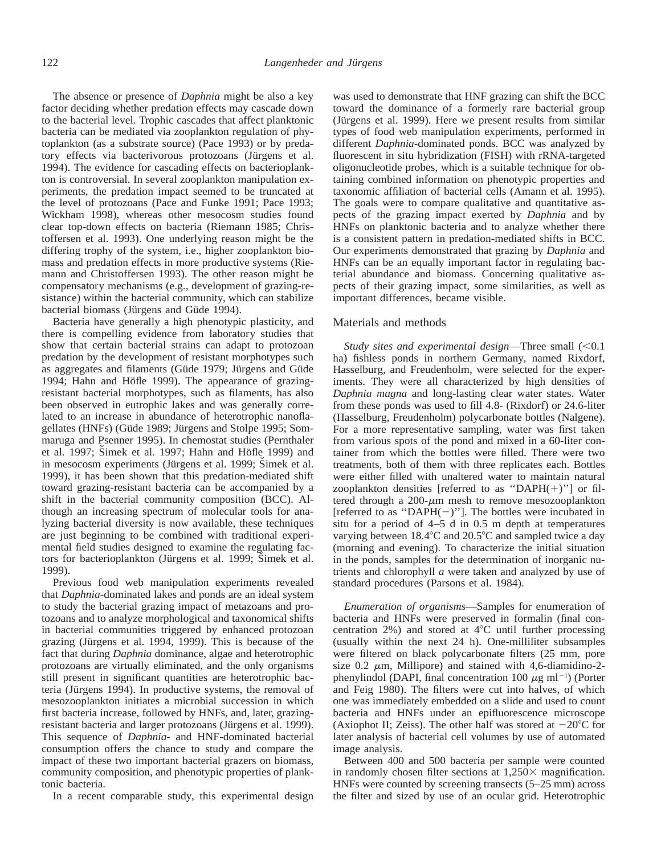The absence or presence of *Daphnia* might be also a key factor deciding whether predation effects may cascade down to the bacterial level. Trophic cascades that affect planktonic bacteria can be mediated via zooplankton regulation of phytoplankton (as a substrate source) (Pace 1993) or by predatory effects via bacterivorous protozoans (Jürgens et al. 1994). The evidence for cascading effects on bacterioplankton is controversial. In several zooplankton manipulation experiments, the predation impact seemed to be truncated at the level of protozoans (Pace and Funke 1991; Pace 1993; Wickham 1998), whereas other mesocosm studies found clear top-down effects on bacteria (Riemann 1985; Christoffersen et al. 1993). One underlying reason might be the differing trophy of the system, i.e., higher zooplankton biomass and predation effects in more productive systems (Riemann and Christoffersen 1993). The other reason might be compensatory mechanisms (e.g., development of grazing-resistance) within the bacterial community, which can stabilize bacterial biomass (Jürgens and Güde 1994).

Bacteria have generally a high phenotypic plasticity, and there is compelling evidence from laboratory studies that show that certain bacterial strains can adapt to protozoan predation by the development of resistant morphotypes such as aggregates and filaments (Güde 1979; Jürgens and Güde 1994; Hahn and Höfle 1999). The appearance of grazingresistant bacterial morphotypes, such as filaments, has also been observed in eutrophic lakes and was generally correlated to an increase in abundance of heterotrophic nanoflagellates (HNFs) (Güde 1989; Jürgens and Stolpe 1995; Sommaruga and Psenner 1995). In chemostat studies (Pernthaler et al. 1997; Šimek et al. 1997; Hahn and Höfle 1999) and in mesocosm experiments (Jürgens et al. 1999; Šimek et al. 1999), it has been shown that this predation-mediated shift toward grazing-resistant bacteria can be accompanied by a shift in the bacterial community composition (BCC). Although an increasing spectrum of molecular tools for analyzing bacterial diversity is now available, these techniques are just beginning to be combined with traditional experimental field studies designed to examine the regulating factors for bacterioplankton (Jürgens et al. 1999; Šimek et al. 1999).

Previous food web manipulation experiments revealed that *Daphnia*-dominated lakes and ponds are an ideal system to study the bacterial grazing impact of metazoans and protozoans and to analyze morphological and taxonomical shifts in bacterial communities triggered by enhanced protozoan grazing (Jürgens et al. 1994, 1999). This is because of the fact that during *Daphnia* dominance, algae and heterotrophic protozoans are virtually eliminated, and the only organisms still present in significant quantities are heterotrophic bacteria (Jürgens 1994). In productive systems, the removal of mesozooplankton initiates a microbial succession in which first bacteria increase, followed by HNFs, and, later, grazingresistant bacteria and larger protozoans (Jürgens et al. 1999). This sequence of *Daphnia*- and HNF-dominated bacterial consumption offers the chance to study and compare the impact of these two important bacterial grazers on biomass, community composition, and phenotypic properties of planktonic bacteria.

In a recent comparable study, this experimental design

was used to demonstrate that HNF grazing can shift the BCC toward the dominance of a formerly rare bacterial group (Jürgens et al. 1999). Here we present results from similar types of food web manipulation experiments, performed in different *Daphnia*-dominated ponds. BCC was analyzed by fluorescent in situ hybridization (FISH) with rRNA-targeted oligonucleotide probes, which is a suitable technique for obtaining combined information on phenotypic properties and taxonomic affiliation of bacterial cells (Amann et al. 1995). The goals were to compare qualitative and quantitative aspects of the grazing impact exerted by *Daphnia* and by HNFs on planktonic bacteria and to analyze whether there is a consistent pattern in predation-mediated shifts in BCC. Our experiments demonstrated that grazing by *Daphnia* and HNFs can be an equally important factor in regulating bacterial abundance and biomass. Concerning qualitative aspects of their grazing impact, some similarities, as well as important differences, became visible.

## Materials and methods

*Study sites and experimental design*—Three small (<0.1 ha) fishless ponds in northern Germany, named Rixdorf, Hasselburg, and Freudenholm, were selected for the experiments. They were all characterized by high densities of *Daphnia magna* and long-lasting clear water states. Water from these ponds was used to fill 4.8- (Rixdorf) or 24.6-liter (Hasselburg, Freudenholm) polycarbonate bottles (Nalgene). For a more representative sampling, water was first taken from various spots of the pond and mixed in a 60-liter container from which the bottles were filled. There were two treatments, both of them with three replicates each. Bottles were either filled with unaltered water to maintain natural zooplankton densities [referred to as "DAPH $(+)$ "] or filtered through a  $200$ - $\mu$ m mesh to remove mesozooplankton [referred to as "DAPH $(-)$ "]. The bottles were incubated in situ for a period of 4–5 d in 0.5 m depth at temperatures varying between 18.4°C and 20.5°C and sampled twice a day (morning and evening). To characterize the initial situation in the ponds, samples for the determination of inorganic nutrients and chlorophyll *a* were taken and analyzed by use of standard procedures (Parsons et al. 1984).

*Enumeration of organisms*—Samples for enumeration of bacteria and HNFs were preserved in formalin (final concentration  $2\%$ ) and stored at  $4^{\circ}$ C until further processing (usually within the next 24 h). One-milliliter subsamples were filtered on black polycarbonate filters (25 mm, pore size  $0.2 \mu m$ , Millipore) and stained with 4,6-diamidino-2phenylindol (DAPI, final concentration 100  $\mu$ g ml<sup>-1</sup>) (Porter and Feig 1980). The filters were cut into halves, of which one was immediately embedded on a slide and used to count bacteria and HNFs under an epifluorescence microscope (Axiophot II; Zeiss). The other half was stored at  $-20^{\circ}$ C for later analysis of bacterial cell volumes by use of automated image analysis.

Between 400 and 500 bacteria per sample were counted in randomly chosen filter sections at  $1,250\times$  magnification. HNFs were counted by screening transects (5–25 mm) across the filter and sized by use of an ocular grid. Heterotrophic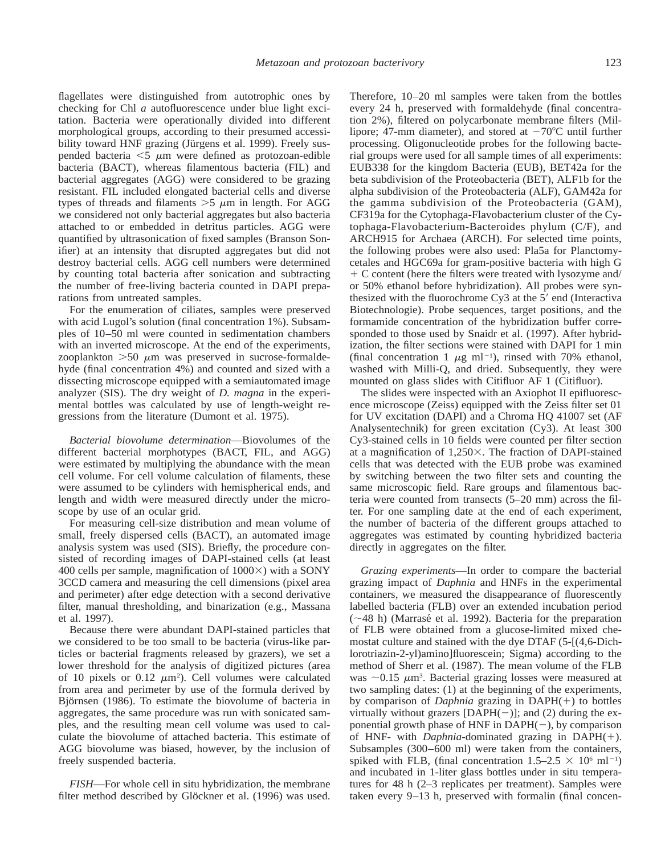flagellates were distinguished from autotrophic ones by checking for Chl *a* autofluorescence under blue light excitation. Bacteria were operationally divided into different morphological groups, according to their presumed accessibility toward HNF grazing (Jürgens et al. 1999). Freely suspended bacteria  $\leq 5$   $\mu$ m were defined as protozoan-edible bacteria (BACT), whereas filamentous bacteria (FIL) and bacterial aggregates (AGG) were considered to be grazing resistant. FIL included elongated bacterial cells and diverse types of threads and filaments  $>5 \mu m$  in length. For AGG we considered not only bacterial aggregates but also bacteria attached to or embedded in detritus particles. AGG were quantified by ultrasonication of fixed samples (Branson Sonifier) at an intensity that disrupted aggregates but did not destroy bacterial cells. AGG cell numbers were determined by counting total bacteria after sonication and subtracting the number of free-living bacteria counted in DAPI preparations from untreated samples.

For the enumeration of ciliates, samples were preserved with acid Lugol's solution (final concentration 1%). Subsamples of 10–50 ml were counted in sedimentation chambers with an inverted microscope. At the end of the experiments, zooplankton  $>50 \mu m$  was preserved in sucrose-formaldehyde (final concentration 4%) and counted and sized with a dissecting microscope equipped with a semiautomated image analyzer (SIS). The dry weight of *D. magna* in the experimental bottles was calculated by use of length-weight regressions from the literature (Dumont et al. 1975).

*Bacterial biovolume determination*—Biovolumes of the different bacterial morphotypes (BACT, FIL, and AGG) were estimated by multiplying the abundance with the mean cell volume. For cell volume calculation of filaments, these were assumed to be cylinders with hemispherical ends, and length and width were measured directly under the microscope by use of an ocular grid.

For measuring cell-size distribution and mean volume of small, freely dispersed cells (BACT), an automated image analysis system was used (SIS). Briefly, the procedure consisted of recording images of DAPI-stained cells (at least 400 cells per sample, magnification of  $1000\times$ ) with a SONY 3CCD camera and measuring the cell dimensions (pixel area and perimeter) after edge detection with a second derivative filter, manual thresholding, and binarization (e.g., Massana et al. 1997).

Because there were abundant DAPI-stained particles that we considered to be too small to be bacteria (virus-like particles or bacterial fragments released by grazers), we set a lower threshold for the analysis of digitized pictures (area of 10 pixels or  $0.12 \ \mu m^2$ ). Cell volumes were calculated from area and perimeter by use of the formula derived by Björnsen (1986). To estimate the biovolume of bacteria in aggregates, the same procedure was run with sonicated samples, and the resulting mean cell volume was used to calculate the biovolume of attached bacteria. This estimate of AGG biovolume was biased, however, by the inclusion of freely suspended bacteria.

*FISH*—For whole cell in situ hybridization, the membrane filter method described by Glöckner et al. (1996) was used. Therefore, 10–20 ml samples were taken from the bottles every 24 h, preserved with formaldehyde (final concentration 2%), filtered on polycarbonate membrane filters (Millipore; 47-mm diameter), and stored at  $-70^{\circ}$ C until further processing. Oligonucleotide probes for the following bacterial groups were used for all sample times of all experiments: EUB338 for the kingdom Bacteria (EUB), BET42a for the beta subdivision of the Proteobacteria (BET), ALF1b for the alpha subdivision of the Proteobacteria (ALF), GAM42a for the gamma subdivision of the Proteobacteria (GAM), CF319a for the Cytophaga-Flavobacterium cluster of the Cytophaga-Flavobacterium-Bacteroides phylum (C/F), and ARCH915 for Archaea (ARCH). For selected time points, the following probes were also used: Pla5a for Planctomycetales and HGC69a for gram-positive bacteria with high G 1 C content (here the filters were treated with lysozyme and/ or 50% ethanol before hybridization). All probes were synthesized with the fluorochrome  $Cy3$  at the  $5'$  end (Interactiva Biotechnologie). Probe sequences, target positions, and the formamide concentration of the hybridization buffer corresponded to those used by Snaidr et al. (1997). After hybridization, the filter sections were stained with DAPI for 1 min (final concentration 1  $\mu$ g ml<sup>-1</sup>), rinsed with 70% ethanol, washed with Milli-Q, and dried. Subsequently, they were mounted on glass slides with Citifluor AF 1 (Citifluor).

The slides were inspected with an Axiophot II epifluorescence microscope (Zeiss) equipped with the Zeiss filter set 01 for UV excitation (DAPI) and a Chroma HQ 41007 set (AF Analysentechnik) for green excitation (Cy3). At least 300 Cy3-stained cells in 10 fields were counted per filter section at a magnification of  $1,250\times$ . The fraction of DAPI-stained cells that was detected with the EUB probe was examined by switching between the two filter sets and counting the same microscopic field. Rare groups and filamentous bacteria were counted from transects (5–20 mm) across the filter. For one sampling date at the end of each experiment, the number of bacteria of the different groups attached to aggregates was estimated by counting hybridized bacteria directly in aggregates on the filter.

*Grazing experiments*—In order to compare the bacterial grazing impact of *Daphnia* and HNFs in the experimental containers, we measured the disappearance of fluorescently labelled bacteria (FLB) over an extended incubation period  $(\sim 48 \text{ h})$  (Marrasé et al. 1992). Bacteria for the preparation of FLB were obtained from a glucose-limited mixed chemostat culture and stained with the dye DTAF (5-[(4,6-Dichlorotriazin-2-yl)amino]fluorescein; Sigma) according to the method of Sherr et al. (1987). The mean volume of the FLB was  $\sim$ 0.15  $\mu$ m<sup>3</sup>. Bacterial grazing losses were measured at two sampling dates: (1) at the beginning of the experiments, by comparison of *Daphnia* grazing in  $DAPH(+)$  to bottles virtually without grazers  $[DAPH(-)]$ ; and (2) during the exponential growth phase of  $HNF$  in  $DAPH(-)$ , by comparison of HNF- with *Daphnia*-dominated grazing in DAPH $(+)$ . Subsamples (300–600 ml) were taken from the containers, spiked with FLB, (final concentration  $1.5-2.5 \times 10^6$  ml<sup>-1</sup>) and incubated in 1-liter glass bottles under in situ temperatures for 48 h (2–3 replicates per treatment). Samples were taken every 9–13 h, preserved with formalin (final concen-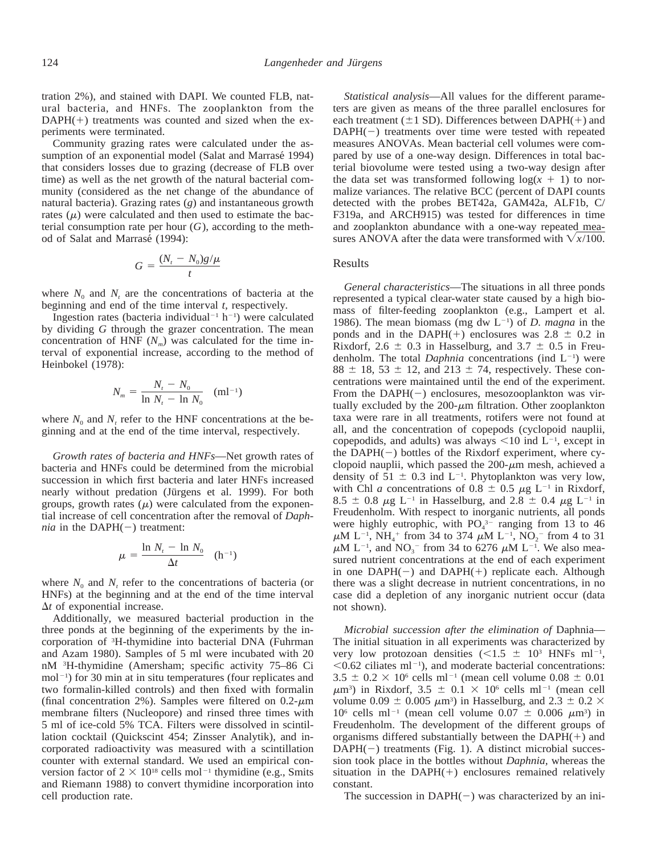tration 2%), and stained with DAPI. We counted FLB, natural bacteria, and HNFs. The zooplankton from the  $DAPH(+)$  treatments was counted and sized when the experiments were terminated.

Community grazing rates were calculated under the assumption of an exponential model (Salat and Marrasé 1994) that considers losses due to grazing (decrease of FLB over time) as well as the net growth of the natural bacterial community (considered as the net change of the abundance of natural bacteria). Grazing rates (*g*) and instantaneous growth rates  $(\mu)$  were calculated and then used to estimate the bacterial consumption rate per hour  $(G)$ , according to the method of Salat and Marrasé (1994):

$$
G=\frac{(N_t-N_0)g/\mu}{t}
$$

where  $N_0$  and  $N_t$  are the concentrations of bacteria at the beginning and end of the time interval *t,* respectively.

Ingestion rates (bacteria individual<sup>-1</sup> h<sup>-1</sup>) were calculated by dividing *G* through the grazer concentration. The mean concentration of HNF  $(N_m)$  was calculated for the time interval of exponential increase, according to the method of Heinbokel (1978):

$$
N_m = \frac{N_t - N_0}{\ln N_t - \ln N_0} \quad (\text{ml}^{-1})
$$

where  $N_0$  and  $N_t$  refer to the HNF concentrations at the beginning and at the end of the time interval, respectively.

*Growth rates of bacteria and HNFs*—Net growth rates of bacteria and HNFs could be determined from the microbial succession in which first bacteria and later HNFs increased nearly without predation (Jürgens et al. 1999). For both groups, growth rates  $(\mu)$  were calculated from the exponential increase of cell concentration after the removal of *Daphnia* in the DAPH $(-)$  treatment:

$$
\mu = \frac{\ln N_t - \ln N_0}{\Delta t} \quad (h^{-1})
$$

where  $N_0$  and  $N_t$ , refer to the concentrations of bacteria (or HNFs) at the beginning and at the end of the time interval  $\Delta t$  of exponential increase.

Additionally, we measured bacterial production in the three ponds at the beginning of the experiments by the incorporation of <sup>3</sup> H-thymidine into bacterial DNA (Fuhrman and Azam 1980). Samples of 5 ml were incubated with 20 nM <sup>3</sup> H-thymidine (Amersham; specific activity 75–86 Ci mol<sup>-1</sup>) for 30 min at in situ temperatures (four replicates and two formalin-killed controls) and then fixed with formalin (final concentration 2%). Samples were filtered on  $0.2$ - $\mu$ m membrane filters (Nucleopore) and rinsed three times with 5 ml of ice-cold 5% TCA. Filters were dissolved in scintillation cocktail (Quickscint 454; Zinsser Analytik), and incorporated radioactivity was measured with a scintillation counter with external standard. We used an empirical conversion factor of  $2 \times 10^{18}$  cells mol<sup>-1</sup> thymidine (e.g., Smits and Riemann 1988) to convert thymidine incorporation into cell production rate.

*Statistical analysis*—All values for the different parameters are given as means of the three parallel enclosures for each treatment ( $\pm$ 1 SD). Differences between DAPH(+) and  $DAPH(-)$  treatments over time were tested with repeated measures ANOVAs. Mean bacterial cell volumes were compared by use of a one-way design. Differences in total bacterial biovolume were tested using a two-way design after the data set was transformed following  $log(x + 1)$  to normalize variances. The relative BCC (percent of DAPI counts detected with the probes BET42a, GAM42a, ALF1b, C/ F319a, and ARCH915) was tested for differences in time and zooplankton abundance with a one-way repeated measures ANOVA after the data were transformed with  $\sqrt{x/100}$ .

#### Results

*General characteristics*—The situations in all three ponds represented a typical clear-water state caused by a high biomass of filter-feeding zooplankton (e.g., Lampert et al. 1986). The mean biomass (mg dw  $L^{-1}$ ) of *D. magna* in the ponds and in the DAPH(+) enclosures was  $2.8 \pm 0.2$  in Rixdorf, 2.6  $\pm$  0.3 in Hasselburg, and 3.7  $\pm$  0.5 in Freudenholm. The total *Daphnia* concentrations (ind  $L^{-1}$ ) were  $88 \pm 18$ ,  $53 \pm 12$ , and  $213 \pm 74$ , respectively. These concentrations were maintained until the end of the experiment. From the DAPH $(-)$  enclosures, mesozooplankton was virtually excluded by the  $200$ - $\mu$ m filtration. Other zooplankton taxa were rare in all treatments, rotifers were not found at all, and the concentration of copepods (cyclopoid nauplii, copepodids, and adults) was always  $\leq 10$  ind L<sup>-1</sup>, except in the  $DAPH(-)$  bottles of the Rixdorf experiment, where cyclopoid nauplii, which passed the  $200-\mu m$  mesh, achieved a density of  $51 \pm 0.3$  ind L<sup>-1</sup>. Phytoplankton was very low, with Chl *a* concentrations of 0.8  $\pm$  0.5  $\mu$ g L<sup>-1</sup> in Rixdorf, 8.5  $\pm$  0.8  $\mu$ g L<sup>-1</sup> in Hasselburg, and 2.8  $\pm$  0.4  $\mu$ g L<sup>-1</sup> in Freudenholm. With respect to inorganic nutrients, all ponds were highly eutrophic, with  $PO<sub>4</sub><sup>3-</sup>$  ranging from 13 to 46  $\mu$ M L<sup>-1</sup>, NH<sub>4</sub><sup>+</sup> from 34 to 374  $\mu$ M L<sup>-1</sup>, NO<sub>2</sub><sup>-</sup> from 4 to 31  $\mu$ M L<sup>-1</sup>, and NO<sub>3</sub><sup>-</sup> from 34 to 6276  $\mu$ M L<sup>-1</sup>. We also measured nutrient concentrations at the end of each experiment in one  $DAPH(-)$  and  $DAPH(+)$  replicate each. Although there was a slight decrease in nutrient concentrations, in no case did a depletion of any inorganic nutrient occur (data not shown).

*Microbial succession after the elimination of* Daphnia— The initial situation in all experiments was characterized by very low protozoan densities  $(<1.5 \pm 10^3$  HNFs ml<sup>-1</sup>,  $<$ 0.62 ciliates ml<sup>-1</sup>), and moderate bacterial concentrations:  $3.5 \pm 0.2 \times 10^6$  cells ml<sup>-1</sup> (mean cell volume  $0.08 \pm 0.01$  $\mu$ m<sup>3</sup>) in Rixdorf, 3.5  $\pm$  0.1  $\times$  10<sup>6</sup> cells ml<sup>-1</sup> (mean cell volume 0.09  $\pm$  0.005  $\mu$ m<sup>3</sup>) in Hasselburg, and 2.3  $\pm$  0.2  $\times$ 10<sup>6</sup> cells ml<sup>-1</sup> (mean cell volume 0.07  $\pm$  0.006  $\mu$ m<sup>3</sup>) in Freudenholm. The development of the different groups of organisms differed substantially between the  $DAPH(+)$  and  $DAPH(-)$  treatments (Fig. 1). A distinct microbial succession took place in the bottles without *Daphnia,* whereas the situation in the DAPH $(+)$  enclosures remained relatively constant.

The succession in  $DAPH(-)$  was characterized by an ini-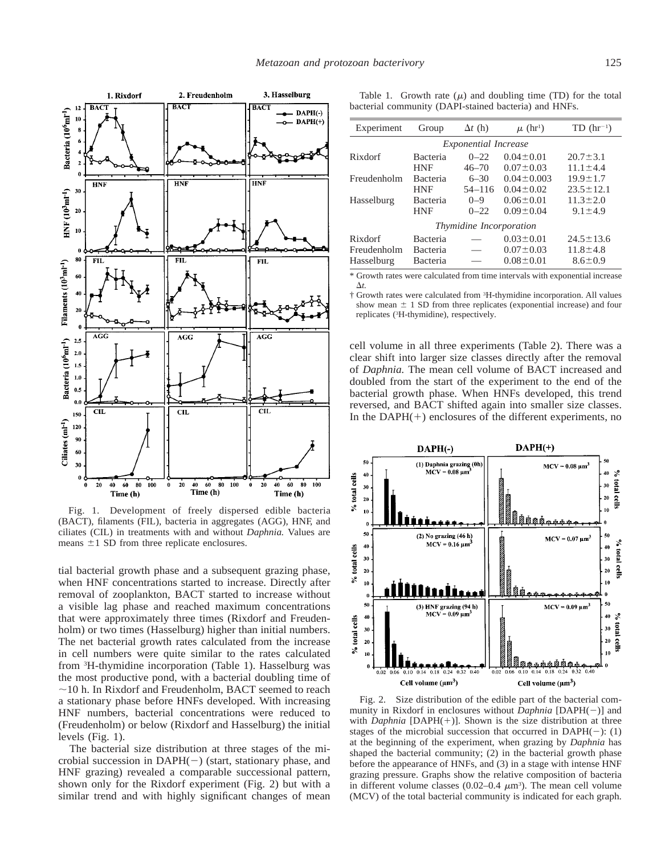

Fig. 1. Development of freely dispersed edible bacteria (BACT), filaments (FIL), bacteria in aggregates (AGG), HNF, and ciliates (CIL) in treatments with and without *Daphnia.* Values are means  $\pm 1$  SD from three replicate enclosures.

tial bacterial growth phase and a subsequent grazing phase, when HNF concentrations started to increase. Directly after removal of zooplankton, BACT started to increase without a visible lag phase and reached maximum concentrations that were approximately three times (Rixdorf and Freudenholm) or two times (Hasselburg) higher than initial numbers. The net bacterial growth rates calculated from the increase in cell numbers were quite similar to the rates calculated from <sup>3</sup> H-thymidine incorporation (Table 1). Hasselburg was the most productive pond, with a bacterial doubling time of  $\sim$ 10 h. In Rixdorf and Freudenholm, BACT seemed to reach a stationary phase before HNFs developed. With increasing HNF numbers, bacterial concentrations were reduced to (Freudenholm) or below (Rixdorf and Hasselburg) the initial levels (Fig. 1).

The bacterial size distribution at three stages of the microbial succession in  $DAPH(-)$  (start, stationary phase, and HNF grazing) revealed a comparable successional pattern, shown only for the Rixdorf experiment (Fig. 2) but with a similar trend and with highly significant changes of mean

Table 1. Growth rate  $(\mu)$  and doubling time (TD) for the total bacterial community (DAPI-stained bacteria) and HNFs.

| Group                       | $\Delta t$ (h) | $\mu$ (hr <sup>1</sup> ) | $TD$ (hr <sup>-1</sup> ) |  |  |  |  |  |  |
|-----------------------------|----------------|--------------------------|--------------------------|--|--|--|--|--|--|
| <b>Exponential Increase</b> |                |                          |                          |  |  |  |  |  |  |
| <b>Bacteria</b>             | $0 - 22$       | $0.04 \pm 0.01$          | $20.7 \pm 3.1$           |  |  |  |  |  |  |
| <b>HNF</b>                  | $46 - 70$      | $0.07 \pm 0.03$          | $11.1 \pm 4.4$           |  |  |  |  |  |  |
| <b>Bacteria</b>             | $6 - 30$       | $0.04 \pm 0.003$         | $19.9 \pm 1.7$           |  |  |  |  |  |  |
| <b>HNF</b>                  | $54 - 116$     | $0.04 \pm 0.02$          | $23.5 \pm 12.1$          |  |  |  |  |  |  |
| Bacteria                    | $0 - 9$        | $0.06 \pm 0.01$          | $11.3 \pm 2.0$           |  |  |  |  |  |  |
| <b>HNF</b>                  | $0 - 22$       | $0.09 \pm 0.04$          | $9.1 \pm 4.9$            |  |  |  |  |  |  |
| Thymidine Incorporation     |                |                          |                          |  |  |  |  |  |  |
| Bacteria                    |                | $0.03 \pm 0.01$          | $24.5 \pm 13.6$          |  |  |  |  |  |  |
| Bacteria                    |                | $0.07 \pm 0.03$          | $11.8 \pm 4.8$           |  |  |  |  |  |  |
| Bacteria                    |                | $0.08 \pm 0.01$          | $8.6 \pm 0.9$            |  |  |  |  |  |  |
|                             |                |                          |                          |  |  |  |  |  |  |

\* Growth rates were calculated from time intervals with exponential increase  $\Lambda t$ 

† Growth rates were calculated from <sup>3</sup> H-thymidine incorporation. All values show mean  $\pm$  1 SD from three replicates (exponential increase) and four replicates (3 H-thymidine), respectively.

cell volume in all three experiments (Table 2). There was a clear shift into larger size classes directly after the removal of *Daphnia.* The mean cell volume of BACT increased and doubled from the start of the experiment to the end of the bacterial growth phase. When HNFs developed, this trend reversed, and BACT shifted again into smaller size classes. In the DAPH $(+)$  enclosures of the different experiments, no



Fig. 2. Size distribution of the edible part of the bacterial community in Rixdorf in enclosures without *Daphnia*  $[DAPH(-)]$  and with *Daphnia* [DAPH $(+)$ ]. Shown is the size distribution at three stages of the microbial succession that occurred in  $DAPH(-)$ : (1) at the beginning of the experiment, when grazing by *Daphnia* has shaped the bacterial community; (2) in the bacterial growth phase before the appearance of HNFs, and (3) in a stage with intense HNF grazing pressure. Graphs show the relative composition of bacteria in different volume classes  $(0.02-0.4 \ \mu m^3)$ . The mean cell volume (MCV) of the total bacterial community is indicated for each graph.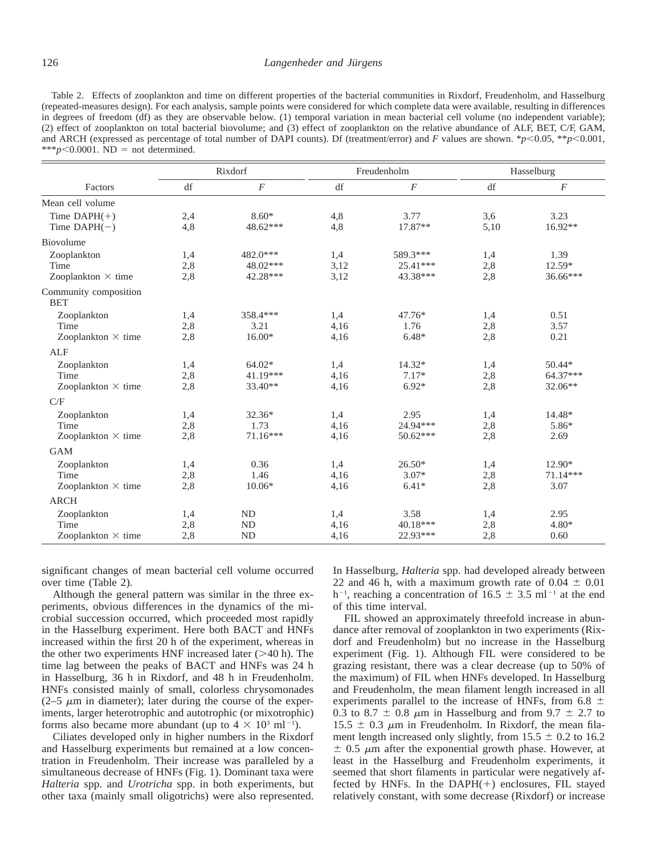## 126 *Langenheder and Ju¨rgens*

Table 2. Effects of zooplankton and time on different properties of the bacterial communities in Rixdorf, Freudenholm, and Hasselburg (repeated-measures design). For each analysis, sample points were considered for which complete data were available, resulting in differences in degrees of freedom (df) as they are observable below. (1) temporal variation in mean bacterial cell volume (no independent variable); (2) effect of zooplankton on total bacterial biovolume; and (3) effect of zooplankton on the relative abundance of ALF, BET, C/F, GAM, and ARCH (expressed as percentage of total number of DAPI counts). Df (treatment/error) and *F* values are shown. \**p*<0.05, \*\**p*<0.001, \*\*\* $p$ <0.0001. ND = not determined.

|                                                  | Rixdorf             |                                   | Freudenholm         |                                    | Hasselburg            |                                 |
|--------------------------------------------------|---------------------|-----------------------------------|---------------------|------------------------------------|-----------------------|---------------------------------|
| Factors                                          | df                  | $\cal F$                          | df                  | $\overline{F}$                     | df                    | $\cal F$                        |
| Mean cell volume                                 |                     |                                   |                     |                                    |                       |                                 |
| Time $DAPH(+)$<br>Time $DAPH(-)$                 | 2,4<br>4,8          | $8.60*$<br>48.62***               | 4,8<br>4,8          | 3.77<br>$17.87**$                  | 3.6<br>5,10           | 3.23<br>16.92**                 |
| Biovolume                                        |                     |                                   |                     |                                    |                       |                                 |
| Zooplankton<br>Time<br>Zooplankton $\times$ time | 1,4<br>$2,8$<br>2,8 | 482.0***<br>48.02***<br>42.28***  | 1,4<br>3,12<br>3,12 | 589.3***<br>$25.41***$<br>43.38*** | 1,4<br>$2,\!8$<br>2,8 | 1.39<br>12.59*<br>$36.66***$    |
| Community composition<br><b>BET</b>              |                     |                                   |                     |                                    |                       |                                 |
| Zooplankton<br>Time<br>Zooplankton $\times$ time | 1,4<br>2,8<br>2,8   | 358.4***<br>3.21<br>16.00*        | 1,4<br>4,16<br>4,16 | 47.76*<br>1.76<br>$6.48*$          | 1,4<br>2,8<br>2,8     | 0.51<br>3.57<br>0.21            |
| <b>ALF</b>                                       |                     |                                   |                     |                                    |                       |                                 |
| Zooplankton<br>Time<br>Zooplankton $\times$ time | 1,4<br>2,8<br>2,8   | $64.02*$<br>41.19***<br>$33.40**$ | 1,4<br>4,16<br>4,16 | $14.32*$<br>$7.17*$<br>$6.92*$     | 1,4<br>2,8<br>2,8     | $50.44*$<br>64.37***<br>32.06** |
| C/F                                              |                     |                                   |                     |                                    |                       |                                 |
| Zooplankton<br>Time<br>Zooplankton $\times$ time | 1,4<br>2,8<br>2,8   | 32.36*<br>1.73<br>$71.16***$      | 1,4<br>4,16<br>4,16 | 2.95<br>24.94***<br>$50.62***$     | 1,4<br>$2,\!8$<br>2,8 | 14.48*<br>5.86*<br>2.69         |
| <b>GAM</b>                                       |                     |                                   |                     |                                    |                       |                                 |
| Zooplankton<br>Time<br>Zooplankton $\times$ time | 1,4<br>2,8<br>2,8   | 0.36<br>1.46<br>$10.06*$          | 1,4<br>4,16<br>4,16 | $26.50*$<br>$3.07*$<br>$6.41*$     | 1,4<br>2,8<br>2,8     | $12.90*$<br>$71.14***$<br>3.07  |
| <b>ARCH</b>                                      |                     |                                   |                     |                                    |                       |                                 |
| Zooplankton<br>Time<br>Zooplankton $\times$ time | 1,4<br>2,8<br>2,8   | ND<br><b>ND</b><br><b>ND</b>      | 1,4<br>4,16<br>4,16 | 3.58<br>40.18***<br>22.93***       | 1,4<br>2,8<br>2,8     | 2.95<br>4.80*<br>0.60           |

significant changes of mean bacterial cell volume occurred over time (Table 2).

Although the general pattern was similar in the three experiments, obvious differences in the dynamics of the microbial succession occurred, which proceeded most rapidly in the Hasselburg experiment. Here both BACT and HNFs increased within the first 20 h of the experiment, whereas in the other two experiments HNF increased later  $(>40 h)$ . The time lag between the peaks of BACT and HNFs was 24 h in Hasselburg, 36 h in Rixdorf, and 48 h in Freudenholm. HNFs consisted mainly of small, colorless chrysomonades  $(2-5 \mu m)$  in diameter); later during the course of the experiments, larger heterotrophic and autotrophic (or mixotrophic) forms also became more abundant (up to  $4 \times 10^3$  ml<sup>-1</sup>).

Ciliates developed only in higher numbers in the Rixdorf and Hasselburg experiments but remained at a low concentration in Freudenholm. Their increase was paralleled by a simultaneous decrease of HNFs (Fig. 1). Dominant taxa were *Halteria* spp. and *Urotricha* spp. in both experiments, but other taxa (mainly small oligotrichs) were also represented. In Hasselburg, *Halteria* spp. had developed already between 22 and 46 h, with a maximum growth rate of  $0.04 \pm 0.01$  $h^{-1}$ , reaching a concentration of 16.5  $\pm$  3.5 ml<sup>-1</sup> at the end of this time interval.

FIL showed an approximately threefold increase in abundance after removal of zooplankton in two experiments (Rixdorf and Freudenholm) but no increase in the Hasselburg experiment (Fig. 1). Although FIL were considered to be grazing resistant, there was a clear decrease (up to 50% of the maximum) of FIL when HNFs developed. In Hasselburg and Freudenholm, the mean filament length increased in all experiments parallel to the increase of HNFs, from 6.8  $\pm$ 0.3 to 8.7  $\pm$  0.8  $\mu$ m in Hasselburg and from 9.7  $\pm$  2.7 to  $15.5 \pm 0.3$   $\mu$ m in Freudenholm. In Rixdorf, the mean filament length increased only slightly, from  $15.5 \pm 0.2$  to  $16.2$  $\pm$  0.5  $\mu$ m after the exponential growth phase. However, at least in the Hasselburg and Freudenholm experiments, it seemed that short filaments in particular were negatively affected by HNFs. In the DAP $H$ (+) enclosures, FIL stayed relatively constant, with some decrease (Rixdorf) or increase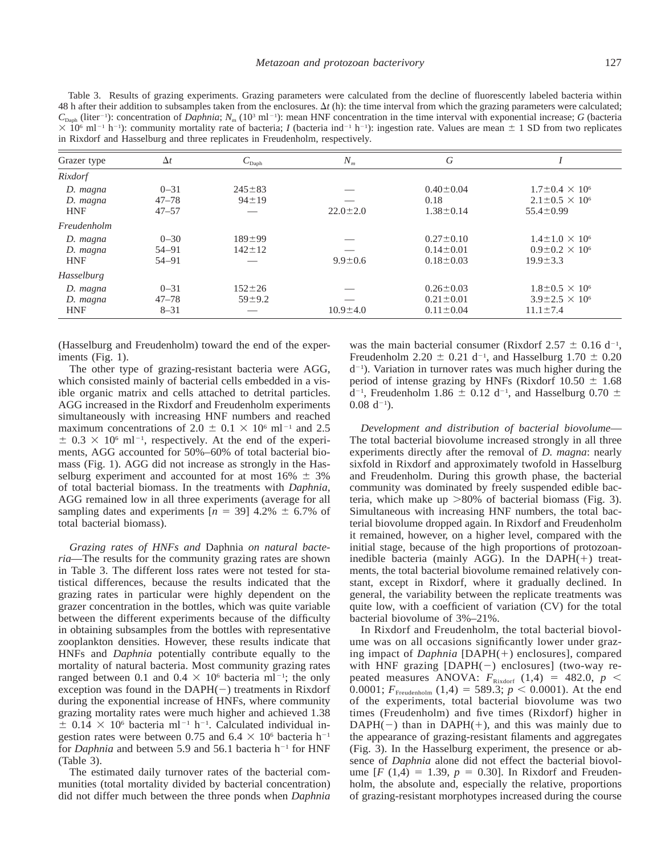Table 3. Results of grazing experiments. Grazing parameters were calculated from the decline of fluorescently labeled bacteria within 48 h after their addition to subsamples taken from the enclosures.  $\Delta t$  (h): the time interval from which the grazing parameters were calculated;  $C_{\text{Daph}}$  (liter<sup>-1</sup>): concentration of *Daphnia*;  $N_{\text{m}}$  (10<sup>3</sup> ml<sup>-1</sup>): mean HNF concentration in the time interval with exponential increase; *G* (bacteria  $\times$  10<sup>6</sup> ml<sup>-1</sup> h<sup>-1</sup>): community mortality rate of bacteria; *I* (bacteria ind<sup>-1</sup> h<sup>-1</sup>): ingestion rate. Values are mean  $\pm$  1 SD from two replicates in Rixdorf and Hasselburg and three replicates in Freudenholm, respectively.

| Grazer type | $\Delta t$ | $C_{\text{Daph}}$ | $N_m$          | G               |                           |
|-------------|------------|-------------------|----------------|-----------------|---------------------------|
| Rixdorf     |            |                   |                |                 |                           |
| D. magna    | $0 - 31$   | $245 \pm 83$      |                | $0.40 \pm 0.04$ | $1.7 \pm 0.4 \times 10^6$ |
| D. magna    | $47 - 78$  | $94 \pm 19$       |                | 0.18            | $2.1 \pm 0.5 \times 10^6$ |
| <b>HNF</b>  | $47 - 57$  |                   | $22.0 \pm 2.0$ | $1.38 \pm 0.14$ | $55.4 \pm 0.99$           |
| Freudenholm |            |                   |                |                 |                           |
| D. magna    | $0 - 30$   | $189 + 99$        |                | $0.27 \pm 0.10$ | $1.4 \pm 1.0 \times 10^6$ |
| D. magna    | $54 - 91$  | $142 \pm 12$      |                | $0.14 \pm 0.01$ | $0.9 \pm 0.2 \times 10^6$ |
| <b>HNF</b>  | $54 - 91$  |                   | $9.9 \pm 0.6$  | $0.18 \pm 0.03$ | $19.9 \pm 3.3$            |
| Hasselburg  |            |                   |                |                 |                           |
| D. magna    | $0 - 31$   | $152 \pm 26$      |                | $0.26 \pm 0.03$ | $1.8 \pm 0.5 \times 10^6$ |
| D. magna    | $47 - 78$  | $59 \pm 9.2$      |                | $0.21 \pm 0.01$ | $3.9 \pm 2.5 \times 10^6$ |
| <b>HNF</b>  | $8 - 31$   |                   | $10.9 \pm 4.0$ | $0.11 \pm 0.04$ | $11.1 \pm 7.4$            |

(Hasselburg and Freudenholm) toward the end of the experiments (Fig. 1).

The other type of grazing-resistant bacteria were AGG, which consisted mainly of bacterial cells embedded in a visible organic matrix and cells attached to detrital particles. AGG increased in the Rixdorf and Freudenholm experiments simultaneously with increasing HNF numbers and reached maximum concentrations of 2.0  $\pm$  0.1  $\times$  10<sup>6</sup> ml<sup>-1</sup> and 2.5  $\pm$  0.3  $\times$  10<sup>6</sup> ml<sup>-1</sup>, respectively. At the end of the experiments, AGG accounted for 50%–60% of total bacterial biomass (Fig. 1). AGG did not increase as strongly in the Hasselburg experiment and accounted for at most  $16\% \pm 3\%$ of total bacterial biomass. In the treatments with *Daphnia,* AGG remained low in all three experiments (average for all sampling dates and experiments  $[n = 39]$  4.2%  $\pm$  6.7% of total bacterial biomass).

*Grazing rates of HNFs and* Daphnia *on natural bacteria*—The results for the community grazing rates are shown in Table 3. The different loss rates were not tested for statistical differences, because the results indicated that the grazing rates in particular were highly dependent on the grazer concentration in the bottles, which was quite variable between the different experiments because of the difficulty in obtaining subsamples from the bottles with representative zooplankton densities. However, these results indicate that HNFs and *Daphnia* potentially contribute equally to the mortality of natural bacteria. Most community grazing rates ranged between 0.1 and  $0.4 \times 10^6$  bacteria ml<sup>-1</sup>; the only exception was found in the  $DAPH(-)$  treatments in Rixdorf during the exponential increase of HNFs, where community grazing mortality rates were much higher and achieved 1.38  $\pm$  0.14  $\times$  10<sup>6</sup> bacteria ml<sup>-1</sup> h<sup>-1</sup>. Calculated individual ingestion rates were between 0.75 and 6.4  $\times$  10<sup>6</sup> bacteria h<sup>-1</sup> for *Daphnia* and between 5.9 and 56.1 bacteria h<sup>-1</sup> for HNF (Table 3).

The estimated daily turnover rates of the bacterial communities (total mortality divided by bacterial concentration) did not differ much between the three ponds when *Daphnia*

was the main bacterial consumer (Rixdorf  $2.57 \pm 0.16$  d<sup>-1</sup>, Freudenholm 2.20  $\pm$  0.21 d<sup>-1</sup>, and Hasselburg 1.70  $\pm$  0.20  $d^{-1}$ ). Variation in turnover rates was much higher during the period of intense grazing by HNFs (Rixdorf  $10.50 \pm 1.68$  $d^{-1}$ , Freudenholm 1.86  $\pm$  0.12 d<sup>-1</sup>, and Hasselburg 0.70  $\pm$  $0.08$  d<sup>-1</sup>).

*Development and distribution of bacterial biovolume*— The total bacterial biovolume increased strongly in all three experiments directly after the removal of *D. magna*: nearly sixfold in Rixdorf and approximately twofold in Hasselburg and Freudenholm. During this growth phase, the bacterial community was dominated by freely suspended edible bacteria, which make up  $>80\%$  of bacterial biomass (Fig. 3). Simultaneous with increasing HNF numbers, the total bacterial biovolume dropped again. In Rixdorf and Freudenholm it remained, however, on a higher level, compared with the initial stage, because of the high proportions of protozoaninedible bacteria (mainly AGG). In the  $DAPH(+)$  treatments, the total bacterial biovolume remained relatively constant, except in Rixdorf, where it gradually declined. In general, the variability between the replicate treatments was quite low, with a coefficient of variation (CV) for the total bacterial biovolume of 3%–21%.

In Rixdorf and Freudenholm, the total bacterial biovolume was on all occasions significantly lower under grazing impact of *Daphnia* [DAPH(+) enclosures], compared with HNF grazing  $[DAPH(-)$  enclosures] (two-way repeated measures ANOVA:  $F_{\text{Rixdorf}}$  (1,4) = 482.0,  $p$  < 0.0001;  $F_{\text{Freudenholm}}$  (1,4) = 589.3;  $p < 0.0001$ ). At the end of the experiments, total bacterial biovolume was two times (Freudenholm) and five times (Rixdorf) higher in  $DAPH(-)$  than in DAPH(+), and this was mainly due to the appearance of grazing-resistant filaments and aggregates (Fig. 3). In the Hasselburg experiment, the presence or absence of *Daphnia* alone did not effect the bacterial biovolume  $[F (1,4) = 1.39, p = 0.30]$ . In Rixdorf and Freudenholm, the absolute and, especially the relative, proportions of grazing-resistant morphotypes increased during the course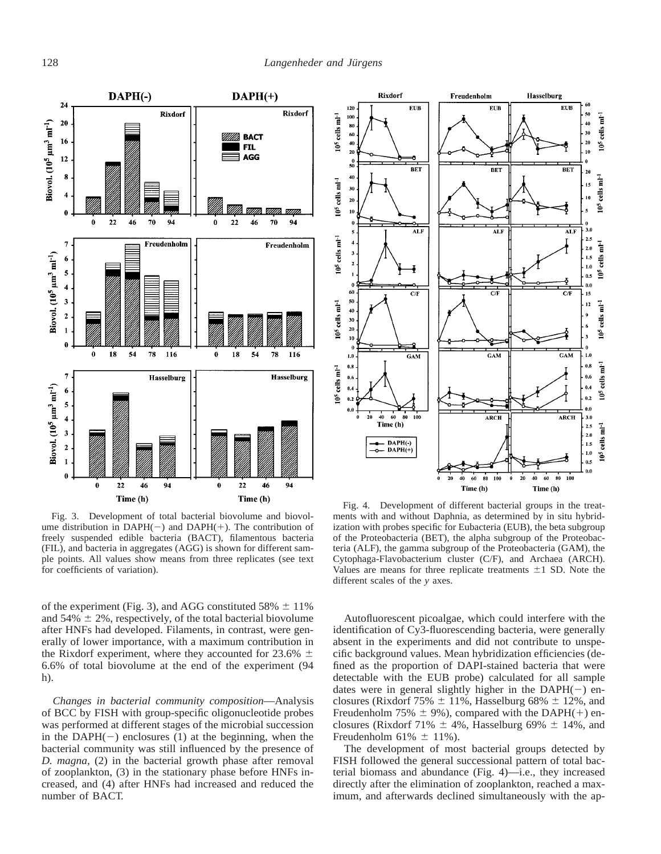

Fig. 3. Development of total bacterial biovolume and biovolume distribution in  $DAPH(-)$  and  $DAPH(+)$ . The contribution of freely suspended edible bacteria (BACT), filamentous bacteria (FIL), and bacteria in aggregates (AGG) is shown for different sample points. All values show means from three replicates (see text for coefficients of variation).

of the experiment (Fig. 3), and AGG constituted 58%  $\pm$  11% and  $54\% \pm 2\%$ , respectively, of the total bacterial biovolume after HNFs had developed. Filaments, in contrast, were generally of lower importance, with a maximum contribution in the Rixdorf experiment, where they accounted for 23.6%  $\pm$ 6.6% of total biovolume at the end of the experiment (94 h).

*Changes in bacterial community composition*—Analysis of BCC by FISH with group-specific oligonucleotide probes was performed at different stages of the microbial succession in the DAPH $(-)$  enclosures (1) at the beginning, when the bacterial community was still influenced by the presence of *D. magna,* (2) in the bacterial growth phase after removal of zooplankton, (3) in the stationary phase before HNFs increased, and (4) after HNFs had increased and reduced the number of BACT.



Fig. 4. Development of different bacterial groups in the treatments with and without Daphnia, as determined by in situ hybridization with probes specific for Eubacteria (EUB), the beta subgroup of the Proteobacteria (BET), the alpha subgroup of the Proteobacteria (ALF), the gamma subgroup of the Proteobacteria (GAM), the Cytophaga-Flavobacterium cluster (C/F), and Archaea (ARCH). Values are means for three replicate treatments  $\pm 1$  SD. Note the different scales of the *y* axes.

Autofluorescent picoalgae, which could interfere with the identification of Cy3-fluorescending bacteria, were generally absent in the experiments and did not contribute to unspecific background values. Mean hybridization efficiencies (defined as the proportion of DAPI-stained bacteria that were detectable with the EUB probe) calculated for all sample dates were in general slightly higher in the  $DAPH(-)$  enclosures (Rixdorf 75%  $\pm$  11%, Hasselburg 68%  $\pm$  12%, and Freudenholm 75%  $\pm$  9%), compared with the DAPH(+) enclosures (Rixdorf 71%  $\pm$  4%, Hasselburg 69%  $\pm$  14%, and Freudenholm  $61\% \pm 11\%$ ).

The development of most bacterial groups detected by FISH followed the general successional pattern of total bacterial biomass and abundance (Fig. 4)—i.e., they increased directly after the elimination of zooplankton, reached a maximum, and afterwards declined simultaneously with the ap-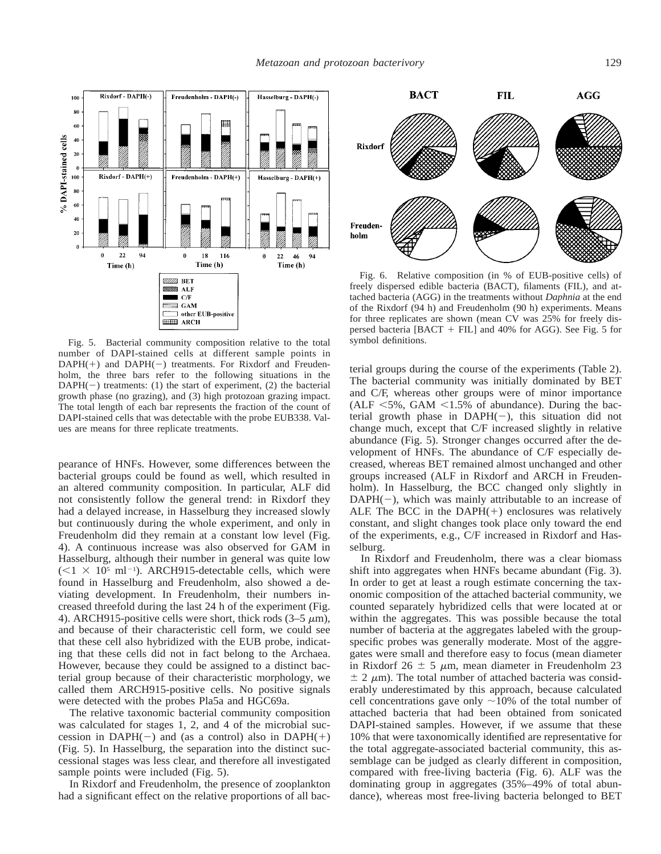![](_page_8_Figure_1.jpeg)

Fig. 5. Bacterial community composition relative to the total number of DAPI-stained cells at different sample points in  $DAPH(+)$  and  $DAPH(-)$  treatments. For Rixdorf and Freudenholm, the three bars refer to the following situations in the  $DAPH(-)$  treatments: (1) the start of experiment, (2) the bacterial growth phase (no grazing), and (3) high protozoan grazing impact. The total length of each bar represents the fraction of the count of DAPI-stained cells that was detectable with the probe EUB338. Values are means for three replicate treatments.

pearance of HNFs. However, some differences between the bacterial groups could be found as well, which resulted in an altered community composition. In particular, ALF did not consistently follow the general trend: in Rixdorf they had a delayed increase, in Hasselburg they increased slowly but continuously during the whole experiment, and only in Freudenholm did they remain at a constant low level (Fig. 4). A continuous increase was also observed for GAM in Hasselburg, although their number in general was quite low  $(< 1 \times 10<sup>5</sup>$  ml<sup>-1</sup>). ARCH915-detectable cells, which were found in Hasselburg and Freudenholm, also showed a deviating development. In Freudenholm, their numbers increased threefold during the last 24 h of the experiment (Fig. 4). ARCH915-positive cells were short, thick rods  $(3-5 \mu m)$ , and because of their characteristic cell form, we could see that these cell also hybridized with the EUB probe, indicating that these cells did not in fact belong to the Archaea. However, because they could be assigned to a distinct bacterial group because of their characteristic morphology, we called them ARCH915-positive cells. No positive signals were detected with the probes Pla5a and HGC69a.

The relative taxonomic bacterial community composition was calculated for stages 1, 2, and 4 of the microbial succession in DAPH(-) and (as a control) also in DAPH(+) (Fig. 5). In Hasselburg, the separation into the distinct successional stages was less clear, and therefore all investigated sample points were included (Fig. 5).

In Rixdorf and Freudenholm, the presence of zooplankton had a significant effect on the relative proportions of all bac-

![](_page_8_Figure_6.jpeg)

Fig. 6. Relative composition (in % of EUB-positive cells) of freely dispersed edible bacteria (BACT), filaments (FIL), and attached bacteria (AGG) in the treatments without *Daphnia* at the end of the Rixdorf (94 h) and Freudenholm (90 h) experiments. Means for three replicates are shown (mean CV was 25% for freely dispersed bacteria  $[BACT + FIL]$  and 40% for AGG). See Fig. 5 for symbol definitions.

terial groups during the course of the experiments (Table 2). The bacterial community was initially dominated by BET and C/F, whereas other groups were of minor importance (ALF  $\leq$ 5%, GAM  $\leq$ 1.5% of abundance). During the bacterial growth phase in  $DAPH(-)$ , this situation did not change much, except that C/F increased slightly in relative abundance (Fig. 5). Stronger changes occurred after the development of HNFs. The abundance of C/F especially decreased, whereas BET remained almost unchanged and other groups increased (ALF in Rixdorf and ARCH in Freudenholm). In Hasselburg, the BCC changed only slightly in  $DAPH(-)$ , which was mainly attributable to an increase of ALF. The BCC in the DAPH $(+)$  enclosures was relatively constant, and slight changes took place only toward the end of the experiments, e.g., C/F increased in Rixdorf and Hasselburg.

In Rixdorf and Freudenholm, there was a clear biomass shift into aggregates when HNFs became abundant (Fig. 3). In order to get at least a rough estimate concerning the taxonomic composition of the attached bacterial community, we counted separately hybridized cells that were located at or within the aggregates. This was possible because the total number of bacteria at the aggregates labeled with the groupspecific probes was generally moderate. Most of the aggregates were small and therefore easy to focus (mean diameter in Rixdorf 26  $\pm$  5  $\mu$ m, mean diameter in Freudenholm 23  $\pm$  2  $\mu$ m). The total number of attached bacteria was considerably underestimated by this approach, because calculated cell concentrations gave only  $\sim$ 10% of the total number of attached bacteria that had been obtained from sonicated DAPI-stained samples. However, if we assume that these 10% that were taxonomically identified are representative for the total aggregate-associated bacterial community, this assemblage can be judged as clearly different in composition, compared with free-living bacteria (Fig. 6). ALF was the dominating group in aggregates (35%–49% of total abundance), whereas most free-living bacteria belonged to BET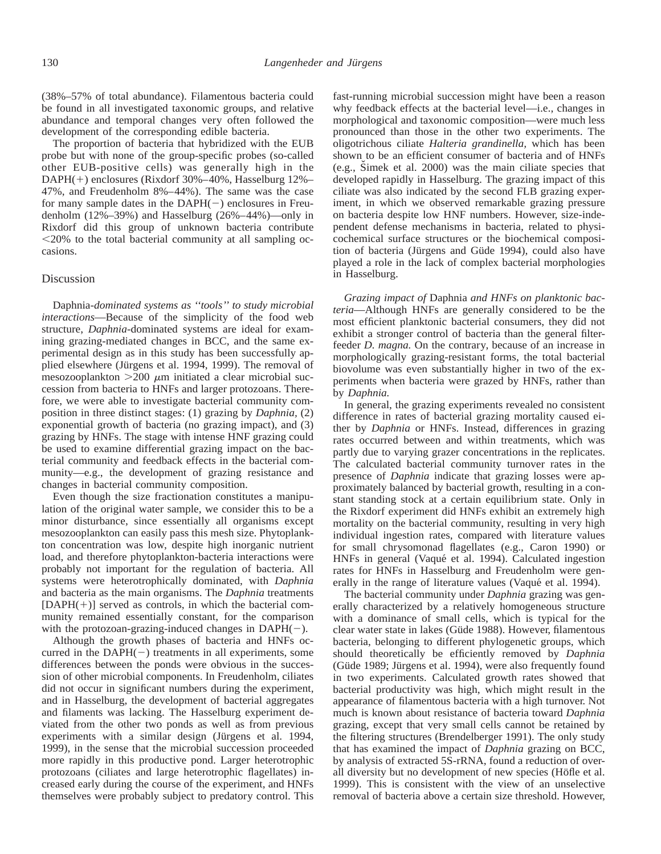(38%–57% of total abundance). Filamentous bacteria could be found in all investigated taxonomic groups, and relative abundance and temporal changes very often followed the development of the corresponding edible bacteria.

The proportion of bacteria that hybridized with the EUB probe but with none of the group-specific probes (so-called other EUB-positive cells) was generally high in the  $DAPH(+)$  enclosures (Rixdorf 30%–40%, Hasselburg  $12%$ – 47%, and Freudenholm 8%–44%). The same was the case for many sample dates in the  $DAPH(-)$  enclosures in Freudenholm (12%–39%) and Hasselburg (26%–44%)—only in Rixdorf did this group of unknown bacteria contribute  $\leq$ 20% to the total bacterial community at all sampling occasions.

## Discussion

Daphnia*-dominated systems as ''tools'' to study microbial interactions*—Because of the simplicity of the food web structure, *Daphnia*-dominated systems are ideal for examining grazing-mediated changes in BCC, and the same experimental design as in this study has been successfully applied elsewhere (Jürgens et al. 1994, 1999). The removal of mesozooplankton  $>200 \mu m$  initiated a clear microbial succession from bacteria to HNFs and larger protozoans. Therefore, we were able to investigate bacterial community composition in three distinct stages: (1) grazing by *Daphnia,* (2) exponential growth of bacteria (no grazing impact), and (3) grazing by HNFs. The stage with intense HNF grazing could be used to examine differential grazing impact on the bacterial community and feedback effects in the bacterial community—e.g., the development of grazing resistance and changes in bacterial community composition.

Even though the size fractionation constitutes a manipulation of the original water sample, we consider this to be a minor disturbance, since essentially all organisms except mesozooplankton can easily pass this mesh size. Phytoplankton concentration was low, despite high inorganic nutrient load, and therefore phytoplankton-bacteria interactions were probably not important for the regulation of bacteria. All systems were heterotrophically dominated, with *Daphnia* and bacteria as the main organisms. The *Daphnia* treatments  $[DAPH(+)]$  served as controls, in which the bacterial community remained essentially constant, for the comparison with the protozoan-grazing-induced changes in  $DAPH(-)$ .

Although the growth phases of bacteria and HNFs occurred in the  $DAPH(-)$  treatments in all experiments, some differences between the ponds were obvious in the succession of other microbial components. In Freudenholm, ciliates did not occur in significant numbers during the experiment, and in Hasselburg, the development of bacterial aggregates and filaments was lacking. The Hasselburg experiment deviated from the other two ponds as well as from previous experiments with a similar design (Jürgens et al. 1994, 1999), in the sense that the microbial succession proceeded more rapidly in this productive pond. Larger heterotrophic protozoans (ciliates and large heterotrophic flagellates) increased early during the course of the experiment, and HNFs themselves were probably subject to predatory control. This fast-running microbial succession might have been a reason why feedback effects at the bacterial level—i.e., changes in morphological and taxonomic composition—were much less pronounced than those in the other two experiments. The oligotrichous ciliate *Halteria grandinella,* which has been shown to be an efficient consumer of bacteria and of HNFs  $(e.g., \text{Simek et al. } 2000)$  was the main ciliate species that developed rapidly in Hasselburg. The grazing impact of this ciliate was also indicated by the second FLB grazing experiment, in which we observed remarkable grazing pressure on bacteria despite low HNF numbers. However, size-independent defense mechanisms in bacteria, related to physicochemical surface structures or the biochemical composition of bacteria (Jürgens and Güde 1994), could also have played a role in the lack of complex bacterial morphologies in Hasselburg.

*Grazing impact of* Daphnia *and HNFs on planktonic bacteria*—Although HNFs are generally considered to be the most efficient planktonic bacterial consumers, they did not exhibit a stronger control of bacteria than the general filterfeeder *D. magna.* On the contrary, because of an increase in morphologically grazing-resistant forms, the total bacterial biovolume was even substantially higher in two of the experiments when bacteria were grazed by HNFs, rather than by *Daphnia.*

In general, the grazing experiments revealed no consistent difference in rates of bacterial grazing mortality caused either by *Daphnia* or HNFs. Instead, differences in grazing rates occurred between and within treatments, which was partly due to varying grazer concentrations in the replicates. The calculated bacterial community turnover rates in the presence of *Daphnia* indicate that grazing losses were approximately balanced by bacterial growth, resulting in a constant standing stock at a certain equilibrium state. Only in the Rixdorf experiment did HNFs exhibit an extremely high mortality on the bacterial community, resulting in very high individual ingestion rates, compared with literature values for small chrysomonad flagellates (e.g., Caron 1990) or HNFs in general (Vaqué et al. 1994). Calculated ingestion rates for HNFs in Hasselburg and Freudenholm were generally in the range of literature values (Vaqué et al. 1994).

The bacterial community under *Daphnia* grazing was generally characterized by a relatively homogeneous structure with a dominance of small cells, which is typical for the clear water state in lakes (Güde 1988). However, filamentous bacteria, belonging to different phylogenetic groups, which should theoretically be efficiently removed by *Daphnia* (Güde 1989; Jürgens et al. 1994), were also frequently found in two experiments. Calculated growth rates showed that bacterial productivity was high, which might result in the appearance of filamentous bacteria with a high turnover. Not much is known about resistance of bacteria toward *Daphnia* grazing, except that very small cells cannot be retained by the filtering structures (Brendelberger 1991). The only study that has examined the impact of *Daphnia* grazing on BCC, by analysis of extracted 5S-rRNA, found a reduction of overall diversity but no development of new species (Höfle et al. 1999). This is consistent with the view of an unselective removal of bacteria above a certain size threshold. However,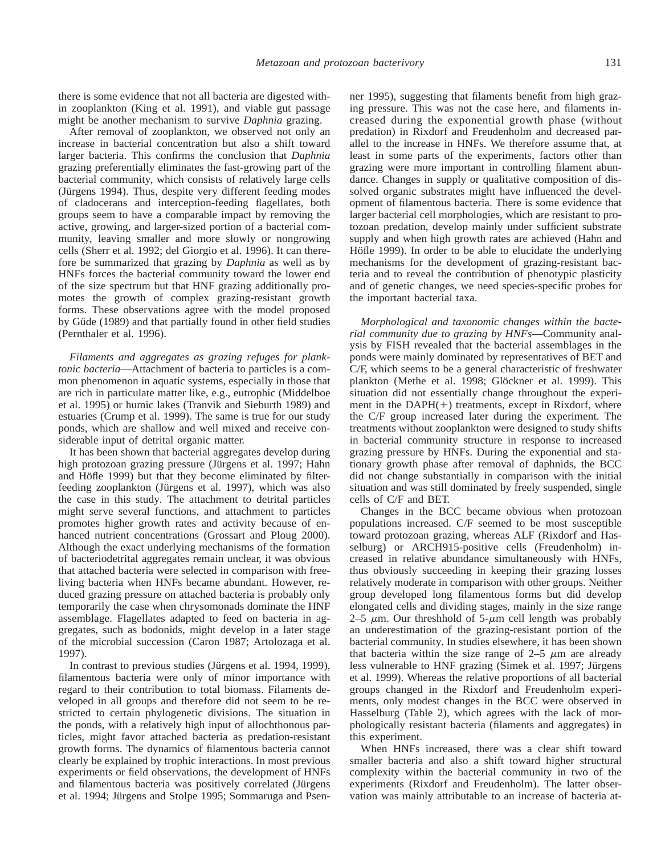there is some evidence that not all bacteria are digested within zooplankton (King et al. 1991), and viable gut passage might be another mechanism to survive *Daphnia* grazing.

After removal of zooplankton, we observed not only an increase in bacterial concentration but also a shift toward larger bacteria. This confirms the conclusion that *Daphnia* grazing preferentially eliminates the fast-growing part of the bacterial community, which consists of relatively large cells (Jürgens 1994). Thus, despite very different feeding modes of cladocerans and interception-feeding flagellates, both groups seem to have a comparable impact by removing the active, growing, and larger-sized portion of a bacterial community, leaving smaller and more slowly or nongrowing cells (Sherr et al. 1992; del Giorgio et al. 1996). It can therefore be summarized that grazing by *Daphnia* as well as by HNFs forces the bacterial community toward the lower end of the size spectrum but that HNF grazing additionally promotes the growth of complex grazing-resistant growth forms. These observations agree with the model proposed by Güde (1989) and that partially found in other field studies (Pernthaler et al. 1996).

*Filaments and aggregates as grazing refuges for planktonic bacteria*—Attachment of bacteria to particles is a common phenomenon in aquatic systems, especially in those that are rich in particulate matter like, e.g., eutrophic (Middelboe et al. 1995) or humic lakes (Tranvik and Sieburth 1989) and estuaries (Crump et al. 1999). The same is true for our study ponds, which are shallow and well mixed and receive considerable input of detrital organic matter.

It has been shown that bacterial aggregates develop during high protozoan grazing pressure (Jürgens et al. 1997; Hahn and Höfle 1999) but that they become eliminated by filterfeeding zooplankton (Jürgens et al. 1997), which was also the case in this study. The attachment to detrital particles might serve several functions, and attachment to particles promotes higher growth rates and activity because of enhanced nutrient concentrations (Grossart and Ploug 2000). Although the exact underlying mechanisms of the formation of bacteriodetrital aggregates remain unclear, it was obvious that attached bacteria were selected in comparison with freeliving bacteria when HNFs became abundant. However, reduced grazing pressure on attached bacteria is probably only temporarily the case when chrysomonads dominate the HNF assemblage. Flagellates adapted to feed on bacteria in aggregates, such as bodonids, might develop in a later stage of the microbial succession (Caron 1987; Artolozaga et al. 1997).

In contrast to previous studies (Jürgens et al. 1994, 1999), filamentous bacteria were only of minor importance with regard to their contribution to total biomass. Filaments developed in all groups and therefore did not seem to be restricted to certain phylogenetic divisions. The situation in the ponds, with a relatively high input of allochthonous particles, might favor attached bacteria as predation-resistant growth forms. The dynamics of filamentous bacteria cannot clearly be explained by trophic interactions. In most previous experiments or field observations, the development of HNFs and filamentous bacteria was positively correlated (Jürgens et al. 1994; Jürgens and Stolpe 1995; Sommaruga and Psenner 1995), suggesting that filaments benefit from high grazing pressure. This was not the case here, and filaments increased during the exponential growth phase (without predation) in Rixdorf and Freudenholm and decreased parallel to the increase in HNFs. We therefore assume that, at least in some parts of the experiments, factors other than grazing were more important in controlling filament abundance. Changes in supply or qualitative composition of dissolved organic substrates might have influenced the development of filamentous bacteria. There is some evidence that larger bacterial cell morphologies, which are resistant to protozoan predation, develop mainly under sufficient substrate supply and when high growth rates are achieved (Hahn and Höfle 1999). In order to be able to elucidate the underlying mechanisms for the development of grazing-resistant bacteria and to reveal the contribution of phenotypic plasticity and of genetic changes, we need species-specific probes for the important bacterial taxa.

*Morphological and taxonomic changes within the bacterial community due to grazing by HNFs*—Community analysis by FISH revealed that the bacterial assemblages in the ponds were mainly dominated by representatives of BET and C/F, which seems to be a general characteristic of freshwater plankton (Methe et al. 1998; Glöckner et al. 1999). This situation did not essentially change throughout the experiment in the  $DAPH(+)$  treatments, except in Rixdorf, where the C/F group increased later during the experiment. The treatments without zooplankton were designed to study shifts in bacterial community structure in response to increased grazing pressure by HNFs. During the exponential and stationary growth phase after removal of daphnids, the BCC did not change substantially in comparison with the initial situation and was still dominated by freely suspended, single cells of C/F and BET.

Changes in the BCC became obvious when protozoan populations increased. C/F seemed to be most susceptible toward protozoan grazing, whereas ALF (Rixdorf and Hasselburg) or ARCH915-positive cells (Freudenholm) increased in relative abundance simultaneously with HNFs, thus obviously succeeding in keeping their grazing losses relatively moderate in comparison with other groups. Neither group developed long filamentous forms but did develop elongated cells and dividing stages, mainly in the size range 2–5  $\mu$ m. Our threshhold of 5- $\mu$ m cell length was probably an underestimation of the grazing-resistant portion of the bacterial community. In studies elsewhere, it has been shown that bacteria within the size range of  $2-5 \mu m$  are already less vulnerable to HNF grazing (Šimek et al. 1997; Jürgens et al. 1999). Whereas the relative proportions of all bacterial groups changed in the Rixdorf and Freudenholm experiments, only modest changes in the BCC were observed in Hasselburg (Table 2), which agrees with the lack of morphologically resistant bacteria (filaments and aggregates) in this experiment.

When HNFs increased, there was a clear shift toward smaller bacteria and also a shift toward higher structural complexity within the bacterial community in two of the experiments (Rixdorf and Freudenholm). The latter observation was mainly attributable to an increase of bacteria at-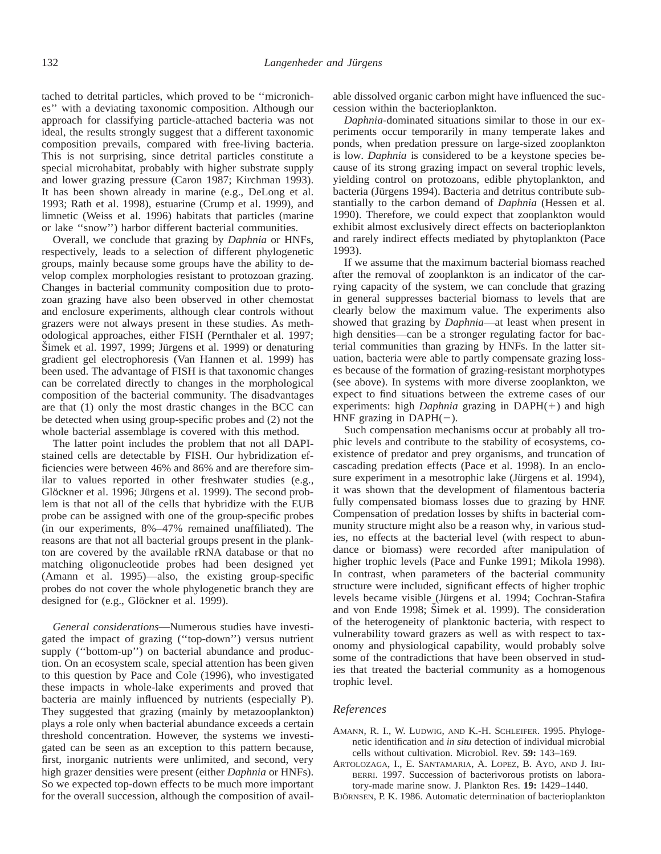tached to detrital particles, which proved to be ''microniches'' with a deviating taxonomic composition. Although our approach for classifying particle-attached bacteria was not ideal, the results strongly suggest that a different taxonomic composition prevails, compared with free-living bacteria. This is not surprising, since detrital particles constitute a special microhabitat, probably with higher substrate supply and lower grazing pressure (Caron 1987; Kirchman 1993). It has been shown already in marine (e.g., DeLong et al. 1993; Rath et al. 1998), estuarine (Crump et al. 1999), and limnetic (Weiss et al. 1996) habitats that particles (marine or lake ''snow'') harbor different bacterial communities.

Overall, we conclude that grazing by *Daphnia* or HNFs, respectively, leads to a selection of different phylogenetic groups, mainly because some groups have the ability to develop complex morphologies resistant to protozoan grazing. Changes in bacterial community composition due to protozoan grazing have also been observed in other chemostat and enclosure experiments, although clear controls without grazers were not always present in these studies. As methodological approaches, either FISH (Pernthaler et al. 1997; Simek et al. 1997, 1999; Jürgens et al. 1999) or denaturing gradient gel electrophoresis (Van Hannen et al. 1999) has been used. The advantage of FISH is that taxonomic changes can be correlated directly to changes in the morphological composition of the bacterial community. The disadvantages are that (1) only the most drastic changes in the BCC can be detected when using group-specific probes and (2) not the whole bacterial assemblage is covered with this method.

The latter point includes the problem that not all DAPIstained cells are detectable by FISH. Our hybridization efficiencies were between 46% and 86% and are therefore similar to values reported in other freshwater studies (e.g., Glöckner et al. 1996; Jürgens et al. 1999). The second problem is that not all of the cells that hybridize with the EUB probe can be assigned with one of the group-specific probes (in our experiments, 8%–47% remained unaffiliated). The reasons are that not all bacterial groups present in the plankton are covered by the available rRNA database or that no matching oligonucleotide probes had been designed yet (Amann et al. 1995)—also, the existing group-specific probes do not cover the whole phylogenetic branch they are designed for (e.g., Glöckner et al. 1999).

*General considerations*—Numerous studies have investigated the impact of grazing (''top-down'') versus nutrient supply (''bottom-up'') on bacterial abundance and production. On an ecosystem scale, special attention has been given to this question by Pace and Cole (1996), who investigated these impacts in whole-lake experiments and proved that bacteria are mainly influenced by nutrients (especially P). They suggested that grazing (mainly by metazooplankton) plays a role only when bacterial abundance exceeds a certain threshold concentration. However, the systems we investigated can be seen as an exception to this pattern because, first, inorganic nutrients were unlimited, and second, very high grazer densities were present (either *Daphnia* or HNFs). So we expected top-down effects to be much more important for the overall succession, although the composition of available dissolved organic carbon might have influenced the succession within the bacterioplankton.

*Daphnia*-dominated situations similar to those in our experiments occur temporarily in many temperate lakes and ponds, when predation pressure on large-sized zooplankton is low. *Daphnia* is considered to be a keystone species because of its strong grazing impact on several trophic levels, yielding control on protozoans, edible phytoplankton, and bacteria (Jürgens 1994). Bacteria and detritus contribute substantially to the carbon demand of *Daphnia* (Hessen et al. 1990). Therefore, we could expect that zooplankton would exhibit almost exclusively direct effects on bacterioplankton and rarely indirect effects mediated by phytoplankton (Pace 1993).

If we assume that the maximum bacterial biomass reached after the removal of zooplankton is an indicator of the carrying capacity of the system, we can conclude that grazing in general suppresses bacterial biomass to levels that are clearly below the maximum value. The experiments also showed that grazing by *Daphnia*—at least when present in high densities—can be a stronger regulating factor for bacterial communities than grazing by HNFs. In the latter situation, bacteria were able to partly compensate grazing losses because of the formation of grazing-resistant morphotypes (see above). In systems with more diverse zooplankton, we expect to find situations between the extreme cases of our experiments: high *Daphnia* grazing in  $DAPH(+)$  and high HNF grazing in  $DAPH(-)$ .

Such compensation mechanisms occur at probably all trophic levels and contribute to the stability of ecosystems, coexistence of predator and prey organisms, and truncation of cascading predation effects (Pace et al. 1998). In an enclosure experiment in a mesotrophic lake (Jürgens et al. 1994), it was shown that the development of filamentous bacteria fully compensated biomass losses due to grazing by HNF. Compensation of predation losses by shifts in bacterial community structure might also be a reason why, in various studies, no effects at the bacterial level (with respect to abundance or biomass) were recorded after manipulation of higher trophic levels (Pace and Funke 1991; Mikola 1998). In contrast, when parameters of the bacterial community structure were included, significant effects of higher trophic levels became visible (Jürgens et al. 1994; Cochran-Stafira and von Ende 1998; Šimek et al. 1999). The consideration of the heterogeneity of planktonic bacteria, with respect to vulnerability toward grazers as well as with respect to taxonomy and physiological capability, would probably solve some of the contradictions that have been observed in studies that treated the bacterial community as a homogenous trophic level.

## *References*

- AMANN, R. I., W. LUDWIG, AND K.-H. SCHLEIFER. 1995. Phylogenetic identification and *in situ* detection of individual microbial cells without cultivation. Microbiol. Rev. **59:** 143–169.
- ARTOLOZAGA, I., E. SANTAMARIA, A. LOPEZ, B. AYO, AND J. IRI-BERRI. 1997. Succession of bacterivorous protists on laboratory-made marine snow. J. Plankton Res. **19:** 1429–1440.
- BJÖRNSEN, P. K. 1986. Automatic determination of bacterioplankton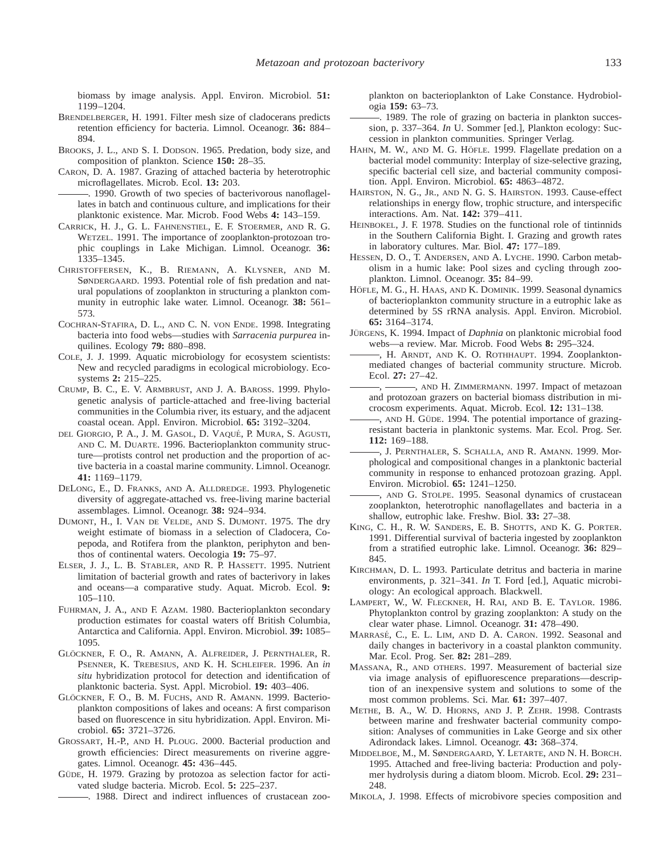biomass by image analysis. Appl. Environ. Microbiol. **51:** 1199–1204.

- [BRENDELBERGER, H. 1991. Filter mesh size of cladocerans predicts](http://www.aslo.org/lo/pdf/vol_36/issue_5/0884.pdf) retention efficiency for bacteria. Limnol. Oceanogr. **36:** 884– 894.
- BROOKS, J. L., AND S. I. DODSON. 1965. Predation, body size, and composition of plankton. Science **150:** 28–35.
- CARON, D. A. 1987. Grazing of attached bacteria by heterotrophic microflagellates. Microb. Ecol. **13:** 203.

. 1990. Growth of two species of bacterivorous nanoflagellates in batch and continuous culture, and implications for their planktonic existence. Mar. Microb. Food Webs **4:** 143–159.

- CARRICK, H. J., G. L. FAHNENSTIEL, E. F. STOERMER, AND R. G. [WETZEL. 1991. The importance of zooplankton-protozoan tro](http://www.aslo.org/lo/pdf/vol_36/issue_7/1335.pdf)phic couplings in Lake Michigan. Limnol. Oceanogr. **36:** 1335–1345.
- CHRISTOFFERSEN, K., B. RIEMANN, A. KLYSNER, AND M. [SøNDERGAARD. 1993. Potential role of fish predation and nat](http://www.aslo.org/lo/pdf/vol_38/issue_3/0561.pdf)ural populations of zooplankton in structuring a plankton community in eutrophic lake water. Limnol. Oceanogr. **38:** 561– 573.
- COCHRAN-STAFIRA, D. L., AND C. N. VON ENDE. 1998. Integrating bacteria into food webs—studies with *Sarracenia purpurea* inquilines. Ecology **79:** 880–898.
- COLE, J. J. 1999. Aquatic microbiology for ecosystem scientists: New and recycled paradigms in ecological microbiology. Ecosystems **2:** 215–225.
- CRUMP, B. C., E. V. ARMBRUST, AND J. A. BAROSS. 1999. Phylogenetic analysis of particle-attached and free-living bacterial communities in the Columbia river, its estuary, and the adjacent coastal ocean. Appl. Environ. Microbiol. **65:** 3192–3204.
- DEL GIORGIO, P. A., J. M. GASOL, D. VAQUÉ, P. MURA, S. AGUSTI, AND C. M. DUARTE. 1996. Bacterioplankton community struc[ture—protists control net production and the proportion of ac](http://www.aslo.org/lo/pdf/vol_41/issue_6/1169.pdf)tive bacteria in a coastal marine community. Limnol. Oceanogr. **41:** 1169–1179.
- DELONG, E., D. FRANKS, AND A. ALLDREDGE. 1993. Phylogenetic [diversity of aggregate-attached vs. free-living marine bacterial](http://www.aslo.org/lo/pdf/vol_38/issue_5/0924.pdf) assemblages. Limnol. Oceanogr. **38:** 924–934.
- DUMONT, H., I. VAN DE VELDE, AND S. DUMONT. 1975. The dry weight estimate of biomass in a selection of Cladocera, Copepoda, and Rotifera from the plankton, periphyton and benthos of continental waters. Oecologia **19:** 75–97.
- ELSER, J. J., L. B. STABLER, AND R. P. HASSETT. 1995. Nutrient limitation of bacterial growth and rates of bacterivory in lakes and oceans—a comparative study. Aquat. Microb. Ecol. **9:** 105–110.
- FUHRMAN, J. A., AND F. AZAM. 1980. Bacterioplankton secondary production estimates for coastal waters off British Columbia, Antarctica and California. Appl. Environ. Microbiol. **39:** 1085– 1095.
- GLÖCKNER, F. O., R. AMANN, A. ALFREIDER, J. PERNTHALER, R. PSENNER, K. TREBESIUS, AND K. H. SCHLEIFER. 1996. An *in situ* hybridization protocol for detection and identification of planktonic bacteria. Syst. Appl. Microbiol. **19:** 403–406.
- GLÖCKNER, F. O., B. M. FUCHS, AND R. AMANN. 1999. Bacterioplankton compositions of lakes and oceans: A first comparison based on fluorescence in situ hybridization. Appl. Environ. Microbiol. **65:** 3721–3726.
- GROSSART, H.-P., AND H. PLOUG. 2000. Bacterial production and [growth efficiencies: Direct measurements on riverine aggre](http://www.aslo.org/lo/pdf/vol_45/issue_2/0436.pdf)gates. Limnol. Oceanogr. **45:** 436–445.
- GÜDE, H. 1979. Grazing by protozoa as selection factor for activated sludge bacteria. Microb. Ecol. **5:** 225–237.
	- . 1988. Direct and indirect influences of crustacean zoo-

plankton on bacterioplankton of Lake Constance. Hydrobiologia **159:** 63–73.

- . 1989. The role of grazing on bacteria in plankton succession, p. 337–364. *In* U. Sommer [ed.], Plankton ecology: Succession in plankton communities. Springer Verlag.
- HAHN, M. W., AND M. G. HÖFLE. 1999. Flagellate predation on a bacterial model community: Interplay of size-selective grazing, specific bacterial cell size, and bacterial community composition. Appl. Environ. Microbiol. **65:** 4863–4872.
- HAIRSTON, N. G., JR., AND N. G. S. HAIRSTON. 1993. Cause-effect relationships in energy flow, trophic structure, and interspecific interactions. Am. Nat. **142:** 379–411.
- HEINBOKEL, J. F. 1978. Studies on the functional role of tintinnids in the Southern California Bight. I. Grazing and growth rates in laboratory cultures. Mar. Biol. **47:** 177–189.
- HESSEN, D. O., T. ANDERSEN, AND A. LYCHE. 1990. Carbon metab[olism in a humic lake: Pool sizes and cycling through zoo](http://www.aslo.org/lo/pdf/vol_35/issue_1/0084.pdf)plankton. Limnol. Oceanogr. **35:** 84–99.
- HÖFLE, M. G., H. HAAS, AND K. DOMINIK. 1999. Seasonal dynamics of bacterioplankton community structure in a eutrophic lake as determined by 5S rRNA analysis. Appl. Environ. Microbiol. **65:** 3164–3174.
- JÜRGENS, K. 1994. Impact of *Daphnia* on planktonic microbial food webs—a review. Mar. Microb. Food Webs **8:** 295–324.
- , H. ARNDT, AND K. O. ROTHHAUPT. 1994. Zooplanktonmediated changes of bacterial community structure. Microb. Ecol. **27:** 27–42.
- -, AND H. ZIMMERMANN. 1997. Impact of metazoan and protozoan grazers on bacterial biomass distribution in microcosm experiments. Aquat. Microb. Ecol. **12:** 131–138.
- -, AND H. GÜDE. 1994. The potential importance of grazingresistant bacteria in planktonic systems. Mar. Ecol. Prog. Ser. **112:** 169–188.
- , J. PERNTHALER, S. SCHALLA, AND R. AMANN. 1999. Morphological and compositional changes in a planktonic bacterial community in response to enhanced protozoan grazing. Appl. Environ. Microbiol. **65:** 1241–1250.
- , AND G. STOLPE. 1995. Seasonal dynamics of crustacean zooplankton, heterotrophic nanoflagellates and bacteria in a shallow, eutrophic lake. Freshw. Biol. **33:** 27–38.
- KING, C. H., R. W. SANDERS, E. B. SHOTTS, AND K. G. PORTER. [1991. Differential survival of bacteria ingested by zooplankton](http://www.aslo.org/lo/pdf/vol_36/issue_5/0829.pdf) from a stratified eutrophic lake. Limnol. Oceanogr. **36:** 829– 845.
- KIRCHMAN, D. L. 1993. Particulate detritus and bacteria in marine environments, p. 321–341. *In* T. Ford [ed.], Aquatic microbiology: An ecological approach. Blackwell.
- LAMPERT, W., W. FLECKNER, H. RAI, AND B. E. TAYLOR. 1986. [Phytoplankton control by grazing zooplankton: A study on the](http://www.aslo.org/lo/pdf/vol_31/issue_3/0478.pdf) clear water phase. Limnol. Oceanogr. **31:** 478–490.
- MARRASÉ, C., E. L. LIM, AND D. A. CARON. 1992. Seasonal and daily changes in bacterivory in a coastal plankton community. Mar. Ecol. Prog. Ser. **82:** 281–289.
- MASSANA, R., AND OTHERS. 1997. Measurement of bacterial size via image analysis of epifluorescence preparations—description of an inexpensive system and solutions to some of the most common problems. Sci. Mar. **61:** 397–407.
- METHE, B. A., W. D. HIORNS, AND J. P. ZEHR. 1998. Contrasts between marine and freshwater bacterial community compo[sition: Analyses of communities in Lake George and six other](http://www.aslo.org/lo/pdf/vol_43/issue_2/0368.pdf) Adirondack lakes. Limnol. Oceanogr. **43:** 368–374.
- MIDDELBOE, M., M. SøNDERGAARD, Y. LETARTE, AND N. H. BORCH. 1995. Attached and free-living bacteria: Production and polymer hydrolysis during a diatom bloom. Microb. Ecol. **29:** 231– 248.
- MIKOLA, J. 1998. Effects of microbivore species composition and